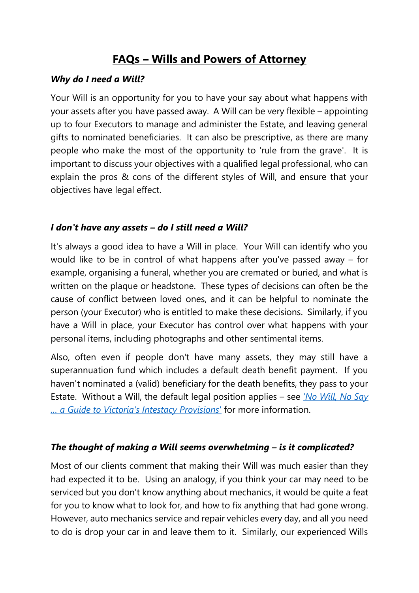# **FAQs – Wills and Powers of Attorney**

#### *Why do I need a Will?*

Your Will is an opportunity for you to have your say about what happens with your assets after you have passed away. A Will can be very flexible – appointing up to four Executors to manage and administer the Estate, and leaving general gifts to nominated beneficiaries. It can also be prescriptive, as there are many people who make the most of the opportunity to 'rule from the grave'. It is important to discuss your objectives with a qualified legal professional, who can explain the pros & cons of the different styles of Will, and ensure that your objectives have legal effect.

#### *I don't have any assets – do I still need a Will?*

It's always a good idea to have a Will in place. Your Will can identify who you would like to be in control of what happens after you've passed away – for example, organising a funeral, whether you are cremated or buried, and what is written on the plaque or headstone. These types of decisions can often be the cause of conflict between loved ones, and it can be helpful to nominate the person (your Executor) who is entitled to make these decisions. Similarly, if you have a Will in place, your Executor has control over what happens with your personal items, including photographs and other sentimental items.

Also, often even if people don't have many assets, they may still have a superannuation fund which includes a default death benefit payment. If you haven't nominated a (valid) beneficiary for the death benefits, they pass to your Estate. Without a Will, the default legal position applies – see *['No Will, No Say](https://www.burkelawyers.com.au/wp-content/uploads/2020/09/No-will-no-say.-A-guide-to-Victorias-intestacy-provisions-current-as-at-.pdf)  [… a Guide to Victoria's Intestacy Provisions](https://www.burkelawyers.com.au/wp-content/uploads/2020/09/No-will-no-say.-A-guide-to-Victorias-intestacy-provisions-current-as-at-.pdf)*' for more information.

#### *The thought of making a Will seems overwhelming – is it complicated?*

Most of our clients comment that making their Will was much easier than they had expected it to be. Using an analogy, if you think your car may need to be serviced but you don't know anything about mechanics, it would be quite a feat for you to know what to look for, and how to fix anything that had gone wrong. However, auto mechanics service and repair vehicles every day, and all you need to do is drop your car in and leave them to it. Similarly, our experienced Wills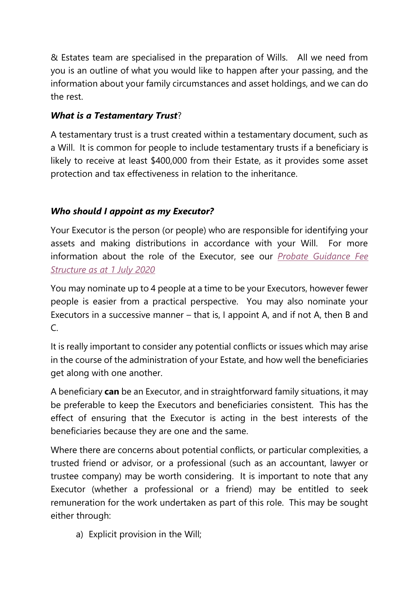& Estates team are specialised in the preparation of Wills. All we need from you is an outline of what you would like to happen after your passing, and the information about your family circumstances and asset holdings, and we can do the rest.

# *What is a Testamentary Trust*?

A testamentary trust is a trust created within a testamentary document, such as a Will. It is common for people to include testamentary trusts if a beneficiary is likely to receive at least \$400,000 from their Estate, as it provides some asset protection and tax effectiveness in relation to the inheritance.

# *Who should I appoint as my Executor?*

Your Executor is the person (or people) who are responsible for identifying your assets and making distributions in accordance with your Will. For more information about the role of the Executor, see our *[Probate Guidance Fee](https://www.burkelawyers.com.au/wp-content/uploads/2020/09/Burke-Associates-Lawyers-%E2%80%93-Probate-Guidance-Fee-Structure-as-at-1-July-2020.pdf)  [Structure as at 1 July 2020](https://www.burkelawyers.com.au/wp-content/uploads/2020/09/Burke-Associates-Lawyers-%E2%80%93-Probate-Guidance-Fee-Structure-as-at-1-July-2020.pdf)*

You may nominate up to 4 people at a time to be your Executors, however fewer people is easier from a practical perspective. You may also nominate your Executors in a successive manner – that is, I appoint A, and if not A, then B and  $C<sub>c</sub>$ 

It is really important to consider any potential conflicts or issues which may arise in the course of the administration of your Estate, and how well the beneficiaries get along with one another.

A beneficiary **can** be an Executor, and in straightforward family situations, it may be preferable to keep the Executors and beneficiaries consistent. This has the effect of ensuring that the Executor is acting in the best interests of the beneficiaries because they are one and the same.

Where there are concerns about potential conflicts, or particular complexities, a trusted friend or advisor, or a professional (such as an accountant, lawyer or trustee company) may be worth considering. It is important to note that any Executor (whether a professional or a friend) may be entitled to seek remuneration for the work undertaken as part of this role. This may be sought either through:

a) Explicit provision in the Will;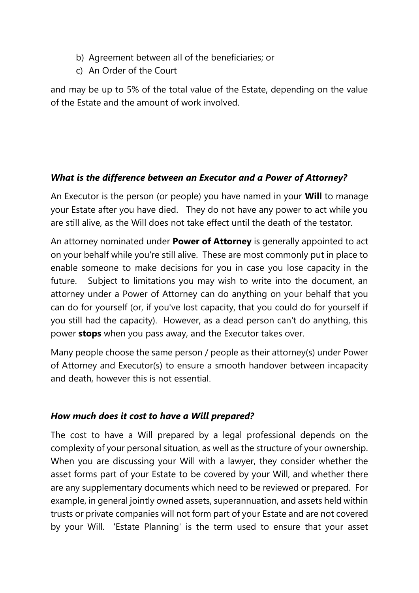- b) Agreement between all of the beneficiaries; or
- c) An Order of the Court

and may be up to 5% of the total value of the Estate, depending on the value of the Estate and the amount of work involved.

#### *What is the difference between an Executor and a Power of Attorney?*

An Executor is the person (or people) you have named in your **Will** to manage your Estate after you have died. They do not have any power to act while you are still alive, as the Will does not take effect until the death of the testator.

An attorney nominated under **Power of Attorney** is generally appointed to act on your behalf while you're still alive. These are most commonly put in place to enable someone to make decisions for you in case you lose capacity in the future. Subject to limitations you may wish to write into the document, an attorney under a Power of Attorney can do anything on your behalf that you can do for yourself (or, if you've lost capacity, that you could do for yourself if you still had the capacity). However, as a dead person can't do anything, this power **stops** when you pass away, and the Executor takes over.

Many people choose the same person / people as their attorney(s) under Power of Attorney and Executor(s) to ensure a smooth handover between incapacity and death, however this is not essential.

#### *How much does it cost to have a Will prepared?*

The cost to have a Will prepared by a legal professional depends on the complexity of your personal situation, as well as the structure of your ownership. When you are discussing your Will with a lawyer, they consider whether the asset forms part of your Estate to be covered by your Will, and whether there are any supplementary documents which need to be reviewed or prepared. For example, in general jointly owned assets, superannuation, and assets held within trusts or private companies will not form part of your Estate and are not covered by your Will. 'Estate Planning' is the term used to ensure that your asset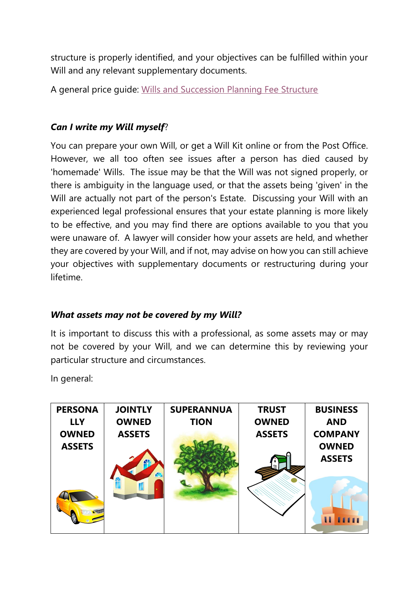structure is properly identified, and your objectives can be fulfilled within your Will and any relevant supplementary documents.

A general price guide: [Wills and Succession Planning Fee Structure](https://www.burkelawyers.com.au/wp-content/uploads/2020/09/Burke-Associates-Lawyers-%E2%80%93-Wills-Succession-Planning-Fee-Structure-as-at-1-July-2020.pdf) 

### *Can I write my Will myself*?

You can prepare your own Will, or get a Will Kit online or from the Post Office. However, we all too often see issues after a person has died caused by 'homemade' Wills. The issue may be that the Will was not signed properly, or there is ambiguity in the language used, or that the assets being 'given' in the Will are actually not part of the person's Estate. Discussing your Will with an experienced legal professional ensures that your estate planning is more likely to be effective, and you may find there are options available to you that you were unaware of. A lawyer will consider how your assets are held, and whether they are covered by your Will, and if not, may advise on how you can still achieve your objectives with supplementary documents or restructuring during your lifetime.

#### *What assets may not be covered by my Will?*

It is important to discuss this with a professional, as some assets may or may not be covered by your Will, and we can determine this by reviewing your particular structure and circumstances.

In general:

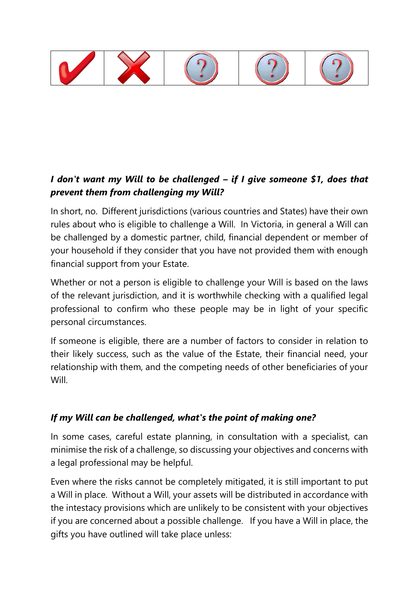

# *I don't want my Will to be challenged – if I give someone \$1, does that prevent them from challenging my Will?*

In short, no. Different jurisdictions (various countries and States) have their own rules about who is eligible to challenge a Will. In Victoria, in general a Will can be challenged by a domestic partner, child, financial dependent or member of your household if they consider that you have not provided them with enough financial support from your Estate.

Whether or not a person is eligible to challenge your Will is based on the laws of the relevant jurisdiction, and it is worthwhile checking with a qualified legal professional to confirm who these people may be in light of your specific personal circumstances.

If someone is eligible, there are a number of factors to consider in relation to their likely success, such as the value of the Estate, their financial need, your relationship with them, and the competing needs of other beneficiaries of your Will.

# *If my Will can be challenged, what's the point of making one?*

In some cases, careful estate planning, in consultation with a specialist, can minimise the risk of a challenge, so discussing your objectives and concerns with a legal professional may be helpful.

Even where the risks cannot be completely mitigated, it is still important to put a Will in place. Without a Will, your assets will be distributed in accordance with the intestacy provisions which are unlikely to be consistent with your objectives if you are concerned about a possible challenge. If you have a Will in place, the gifts you have outlined will take place unless: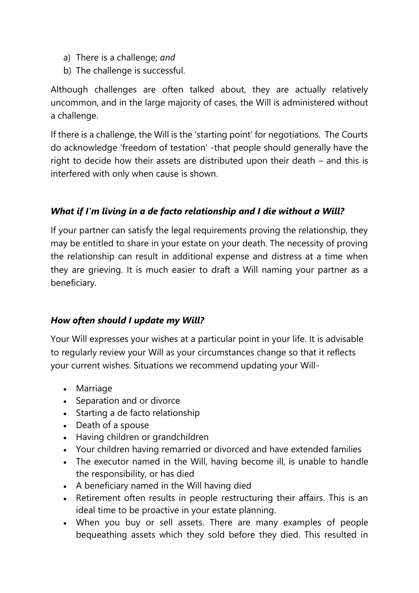- a) There is a challenge; *and*
- b) The challenge is successful.

Although challenges are often talked about, they are actually relatively uncommon, and in the large majority of cases, the Will is administered without a challenge.

If there is a challenge, the Will is the 'starting point' for negotiations. The Courts do acknowledge 'freedom of testation' -that people should generally have the right to decide how their assets are distributed upon their death – and this is interfered with only when cause is shown.

# *What if I'm living in a de facto relationship and I die without a Will?*

If your partner can satisfy the legal requirements proving the relationship, they may be entitled to share in your estate on your death. The necessity of proving the relationship can result in additional expense and distress at a time when they are grieving. It is much easier to draft a Will naming your partner as a beneficiary.

# *How often should I update my Will?*

Your Will expresses your wishes at a particular point in your life. It is advisable to regularly review your Will as your circumstances change so that it reflects your current wishes. Situations we recommend updating your Will-

- Marriage
- Separation and or divorce
- Starting a de facto relationship
- Death of a spouse
- Having children or grandchildren
- Your children having remarried or divorced and have extended families
- The executor named in the Will, having become ill, is unable to handle the responsibility, or has died
- A beneficiary named in the Will having died
- Retirement often results in people restructuring their affairs. This is an ideal time to be proactive in your estate planning.
- When you buy or sell assets. There are many examples of people bequeathing assets which they sold before they died. This resulted in